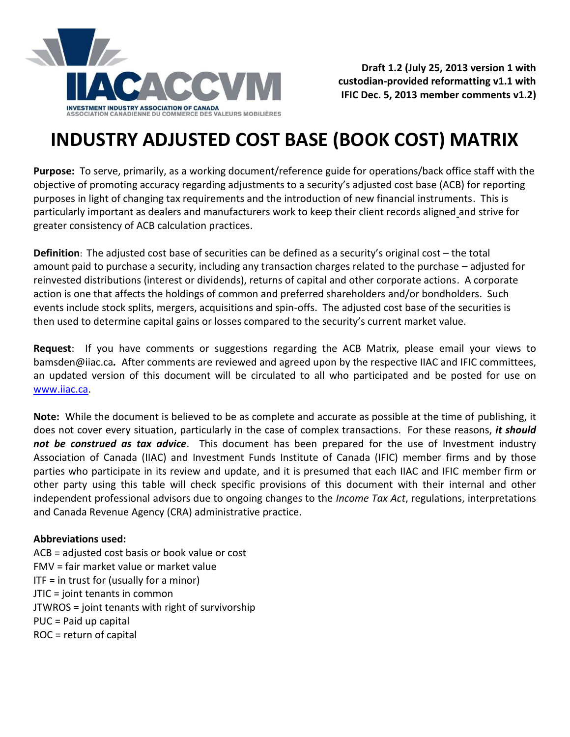

**Draft 1.2 (July 25, 2013 version 1 with custodian-provided reformatting v1.1 with IFIC Dec. 5, 2013 member comments v1.2)**

## **INDUSTRY ADJUSTED COST BASE (BOOK COST) MATRIX**

**Purpose:** To serve, primarily, as a working document/reference guide for operations/back office staff with the objective of promoting accuracy regarding adjustments to a security's adjusted cost base (ACB) for reporting purposes in light of changing tax requirements and the introduction of new financial instruments. This is particularly important as dealers and manufacturers work to keep their client records aligned and strive for greater consistency of ACB calculation practices.

**Definition**: The adjusted cost base of securities can be defined as a security's original cost – the total amount paid to purchase a security, including any transaction charges related to the purchase – adjusted for reinvested distributions (interest or dividends), returns of capital and other corporate actions. A corporate action is one that affects the holdings of common and preferred shareholders and/or bondholders. Such events include stock splits, mergers, acquisitions and spin-offs. The adjusted cost base of the securities is then used to determine capital gains or losses compared to the security's current market value.

**Request**:If you have comments or suggestions regarding the ACB Matrix, please email your views to [bamsden@iiac.ca](mailto:bamsden@iiac.ca)*.* After comments are reviewed and agreed upon by the respective IIAC and IFIC committees, an updated version of this document will be circulated to all who participated and be posted for use on [www.iiac.ca.](http://www.iiac.ca/)

**Note:** While the document is believed to be as complete and accurate as possible at the time of publishing, it does not cover every situation, particularly in the case of complex transactions. For these reasons, *it should not be construed as tax advice*. This document has been prepared for the use of Investment industry Association of Canada (IIAC) and Investment Funds Institute of Canada (IFIC) member firms and by those parties who participate in its review and update, and it is presumed that each IIAC and IFIC member firm or other party using this table will check specific provisions of this document with their internal and other independent professional advisors due to ongoing changes to the *Income Tax Act*, regulations, interpretations and Canada Revenue Agency (CRA) administrative practice.

## **Abbreviations used:**

ACB = adjusted cost basis or book value or cost FMV = fair market value or market value  $ITF = in trust for (usually for a minor)$ JTIC = joint tenants in common JTWROS = joint tenants with right of survivorship PUC = Paid up capital ROC = return of capital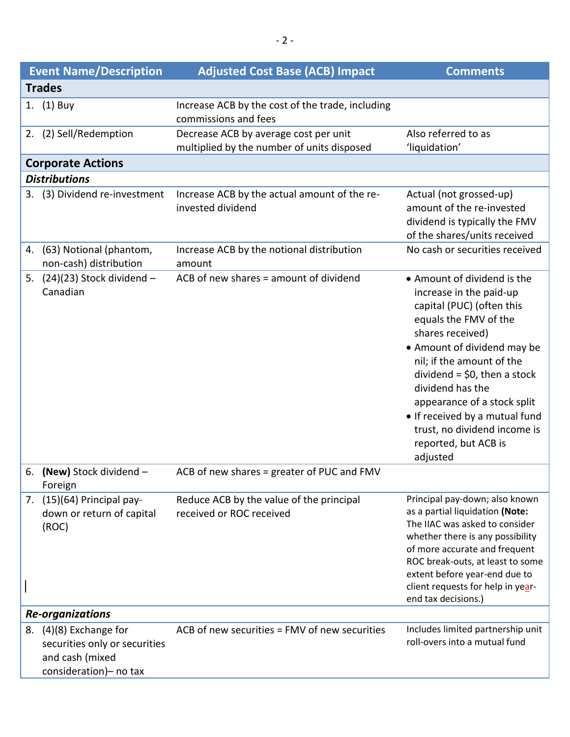|                         | <b>Event Name/Description</b>                                                                       | <b>Adjusted Cost Base (ACB) Impact</b>                                              | <b>Comments</b>                                                                                                                                                                                                                                                                                                                                                                        |  |
|-------------------------|-----------------------------------------------------------------------------------------------------|-------------------------------------------------------------------------------------|----------------------------------------------------------------------------------------------------------------------------------------------------------------------------------------------------------------------------------------------------------------------------------------------------------------------------------------------------------------------------------------|--|
|                         | <b>Trades</b>                                                                                       |                                                                                     |                                                                                                                                                                                                                                                                                                                                                                                        |  |
|                         | 1. (1) Buy                                                                                          | Increase ACB by the cost of the trade, including<br>commissions and fees            |                                                                                                                                                                                                                                                                                                                                                                                        |  |
|                         | 2. (2) Sell/Redemption                                                                              | Decrease ACB by average cost per unit<br>multiplied by the number of units disposed | Also referred to as<br>'liquidation'                                                                                                                                                                                                                                                                                                                                                   |  |
|                         | <b>Corporate Actions</b>                                                                            |                                                                                     |                                                                                                                                                                                                                                                                                                                                                                                        |  |
|                         | <b>Distributions</b>                                                                                |                                                                                     |                                                                                                                                                                                                                                                                                                                                                                                        |  |
|                         | 3. (3) Dividend re-investment                                                                       | Increase ACB by the actual amount of the re-<br>invested dividend                   | Actual (not grossed-up)<br>amount of the re-invested<br>dividend is typically the FMV<br>of the shares/units received                                                                                                                                                                                                                                                                  |  |
| 4.                      | (63) Notional (phantom,<br>non-cash) distribution                                                   | Increase ACB by the notional distribution<br>amount                                 | No cash or securities received                                                                                                                                                                                                                                                                                                                                                         |  |
| 5.                      | $(24)(23)$ Stock dividend -<br>Canadian                                                             | ACB of new shares = amount of dividend                                              | • Amount of dividend is the<br>increase in the paid-up<br>capital (PUC) (often this<br>equals the FMV of the<br>shares received)<br>• Amount of dividend may be<br>nil; if the amount of the<br>dividend = $$0,$ then a stock<br>dividend has the<br>appearance of a stock split<br>• If received by a mutual fund<br>trust, no dividend income is<br>reported, but ACB is<br>adjusted |  |
| 6.                      | (New) Stock dividend -<br>Foreign                                                                   | ACB of new shares = greater of PUC and FMV                                          |                                                                                                                                                                                                                                                                                                                                                                                        |  |
| 7.                      | (15)(64) Principal pay-<br>down or return of capital<br>(ROC)                                       | Reduce ACB by the value of the principal<br>received or ROC received                | Principal pay-down; also known<br>as a partial liquidation (Note:<br>The IIAC was asked to consider<br>whether there is any possibility<br>of more accurate and frequent<br>ROC break-outs, at least to some<br>extent before year-end due to<br>client requests for help in year-<br>end tax decisions.)                                                                              |  |
| <b>Re-organizations</b> |                                                                                                     |                                                                                     |                                                                                                                                                                                                                                                                                                                                                                                        |  |
| 8.                      | $(4)(8)$ Exchange for<br>securities only or securities<br>and cash (mixed<br>consideration)- no tax | ACB of new securities = FMV of new securities                                       | Includes limited partnership unit<br>roll-overs into a mutual fund                                                                                                                                                                                                                                                                                                                     |  |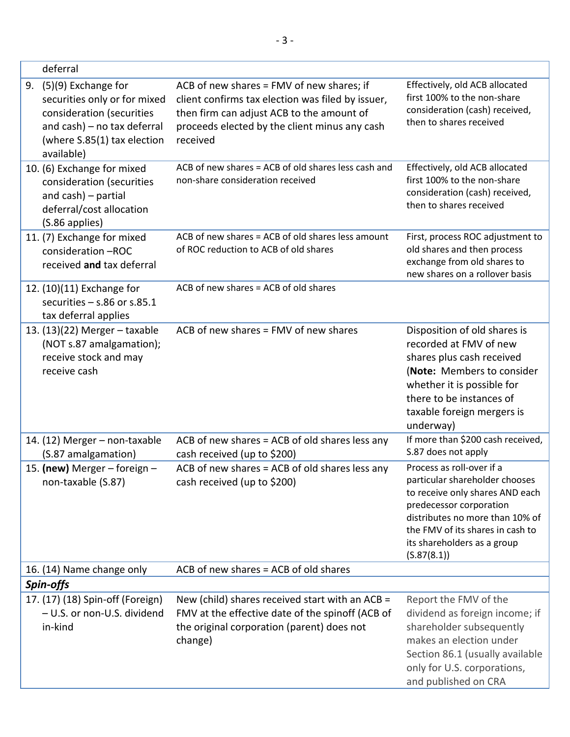| deferral                                                                                                                                                           |                                                                                                                                                                                                          |                                                                                                                                                                                                                                                |  |
|--------------------------------------------------------------------------------------------------------------------------------------------------------------------|----------------------------------------------------------------------------------------------------------------------------------------------------------------------------------------------------------|------------------------------------------------------------------------------------------------------------------------------------------------------------------------------------------------------------------------------------------------|--|
| (5)(9) Exchange for<br>9.<br>securities only or for mixed<br>consideration (securities<br>and cash) - no tax deferral<br>(where S.85(1) tax election<br>available) | ACB of new shares = FMV of new shares; if<br>client confirms tax election was filed by issuer,<br>then firm can adjust ACB to the amount of<br>proceeds elected by the client minus any cash<br>received | Effectively, old ACB allocated<br>first 100% to the non-share<br>consideration (cash) received,<br>then to shares received                                                                                                                     |  |
| 10. (6) Exchange for mixed<br>consideration (securities<br>and $\cosh$ ) – partial<br>deferral/cost allocation<br>(S.86 applies)                                   | ACB of new shares = ACB of old shares less cash and<br>non-share consideration received                                                                                                                  | Effectively, old ACB allocated<br>first 100% to the non-share<br>consideration (cash) received,<br>then to shares received                                                                                                                     |  |
| 11. (7) Exchange for mixed<br>consideration -ROC<br>received and tax deferral                                                                                      | ACB of new shares = ACB of old shares less amount<br>of ROC reduction to ACB of old shares                                                                                                               | First, process ROC adjustment to<br>old shares and then process<br>exchange from old shares to<br>new shares on a rollover basis                                                                                                               |  |
| 12. (10)(11) Exchange for<br>securities $-$ s.86 or s.85.1<br>tax deferral applies                                                                                 | ACB of new shares = ACB of old shares                                                                                                                                                                    |                                                                                                                                                                                                                                                |  |
| 13. $(13)(22)$ Merger - taxable<br>(NOT s.87 amalgamation);<br>receive stock and may<br>receive cash                                                               | ACB of new shares = FMV of new shares                                                                                                                                                                    | Disposition of old shares is<br>recorded at FMV of new<br>shares plus cash received<br>(Note: Members to consider<br>whether it is possible for<br>there to be instances of<br>taxable foreign mergers is<br>underway)                         |  |
| 14. (12) Merger - non-taxable<br>(S.87 amalgamation)                                                                                                               | ACB of new shares = ACB of old shares less any<br>cash received (up to \$200)                                                                                                                            | If more than \$200 cash received,<br>S.87 does not apply                                                                                                                                                                                       |  |
| 15. (new) Merger - foreign -<br>non-taxable (S.87)                                                                                                                 | ACB of new shares = ACB of old shares less any<br>cash received (up to \$200)                                                                                                                            | Process as roll-over if a<br>particular shareholder chooses<br>to receive only shares AND each<br>predecessor corporation<br>distributes no more than 10% of<br>the FMV of its shares in cash to<br>its shareholders as a group<br>(S.87(8.1)) |  |
| 16. (14) Name change only                                                                                                                                          | ACB of new shares = ACB of old shares                                                                                                                                                                    |                                                                                                                                                                                                                                                |  |
| Spin-offs                                                                                                                                                          |                                                                                                                                                                                                          |                                                                                                                                                                                                                                                |  |
| 17. (17) (18) Spin-off (Foreign)<br>- U.S. or non-U.S. dividend<br>in-kind                                                                                         | New (child) shares received start with an ACB =<br>FMV at the effective date of the spinoff (ACB of<br>the original corporation (parent) does not<br>change)                                             | Report the FMV of the<br>dividend as foreign income; if<br>shareholder subsequently<br>makes an election under<br>Section 86.1 (usually available<br>only for U.S. corporations,<br>and published on CRA                                       |  |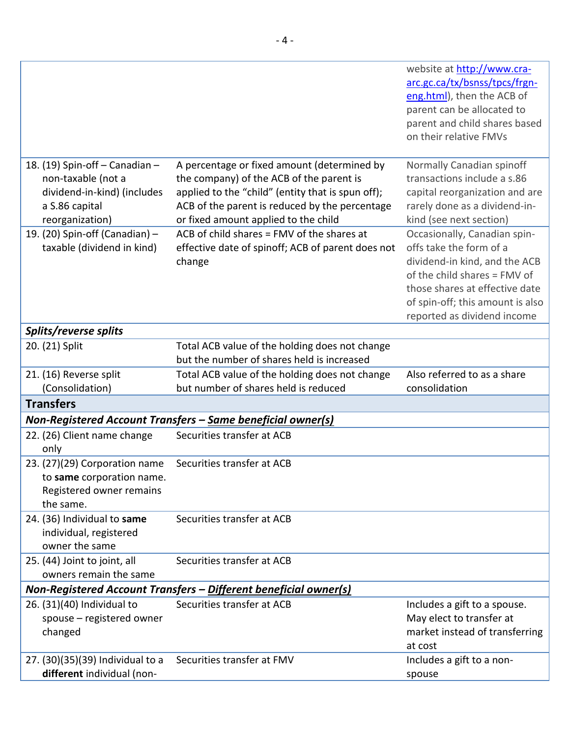|                                                                  |                                                             | website at http://www.cra-<br>arc.gc.ca/tx/bsnss/tpcs/frgn-<br>eng.html), then the ACB of<br>parent can be allocated to<br>parent and child shares based<br>on their relative FMVs |  |
|------------------------------------------------------------------|-------------------------------------------------------------|------------------------------------------------------------------------------------------------------------------------------------------------------------------------------------|--|
| 18. (19) Spin-off - Canadian -                                   | A percentage or fixed amount (determined by                 | Normally Canadian spinoff                                                                                                                                                          |  |
| non-taxable (not a                                               | the company) of the ACB of the parent is                    | transactions include a s.86                                                                                                                                                        |  |
| dividend-in-kind) (includes                                      | applied to the "child" (entity that is spun off);           | capital reorganization and are                                                                                                                                                     |  |
| a S.86 capital                                                   | ACB of the parent is reduced by the percentage              | rarely done as a dividend-in-                                                                                                                                                      |  |
| reorganization)                                                  | or fixed amount applied to the child                        | kind (see next section)                                                                                                                                                            |  |
| 19. (20) Spin-off (Canadian) -                                   | ACB of child shares = FMV of the shares at                  | Occasionally, Canadian spin-                                                                                                                                                       |  |
| taxable (dividend in kind)                                       | effective date of spinoff; ACB of parent does not           | offs take the form of a                                                                                                                                                            |  |
|                                                                  | change                                                      | dividend-in kind, and the ACB                                                                                                                                                      |  |
|                                                                  |                                                             | of the child shares = FMV of                                                                                                                                                       |  |
|                                                                  |                                                             | those shares at effective date                                                                                                                                                     |  |
|                                                                  |                                                             |                                                                                                                                                                                    |  |
|                                                                  |                                                             | of spin-off; this amount is also                                                                                                                                                   |  |
|                                                                  |                                                             | reported as dividend income                                                                                                                                                        |  |
| Splits/reverse splits                                            |                                                             |                                                                                                                                                                                    |  |
| 20. (21) Split                                                   | Total ACB value of the holding does not change              |                                                                                                                                                                                    |  |
|                                                                  | but the number of shares held is increased                  |                                                                                                                                                                                    |  |
| 21. (16) Reverse split                                           | Total ACB value of the holding does not change              | Also referred to as a share                                                                                                                                                        |  |
| (Consolidation)                                                  | but number of shares held is reduced                        | consolidation                                                                                                                                                                      |  |
| <b>Transfers</b>                                                 |                                                             |                                                                                                                                                                                    |  |
|                                                                  | Non-Registered Account Transfers - Same beneficial owner(s) |                                                                                                                                                                                    |  |
| 22. (26) Client name change<br>only                              | Securities transfer at ACB                                  |                                                                                                                                                                                    |  |
| 23. (27)(29) Corporation name                                    | Securities transfer at ACB                                  |                                                                                                                                                                                    |  |
| to same corporation name.                                        |                                                             |                                                                                                                                                                                    |  |
| Registered owner remains                                         |                                                             |                                                                                                                                                                                    |  |
| the same.                                                        |                                                             |                                                                                                                                                                                    |  |
| 24. (36) Individual to same                                      | Securities transfer at ACB                                  |                                                                                                                                                                                    |  |
| individual, registered                                           |                                                             |                                                                                                                                                                                    |  |
| owner the same                                                   |                                                             |                                                                                                                                                                                    |  |
| 25. (44) Joint to joint, all                                     | Securities transfer at ACB                                  |                                                                                                                                                                                    |  |
| owners remain the same                                           |                                                             |                                                                                                                                                                                    |  |
| Non-Registered Account Transfers - Different beneficial owner(s) |                                                             |                                                                                                                                                                                    |  |
| 26. (31)(40) Individual to                                       | Securities transfer at ACB                                  | Includes a gift to a spouse.                                                                                                                                                       |  |
| spouse - registered owner                                        |                                                             | May elect to transfer at                                                                                                                                                           |  |
| changed                                                          |                                                             | market instead of transferring                                                                                                                                                     |  |
|                                                                  |                                                             | at cost                                                                                                                                                                            |  |
| 27. (30)(35)(39) Individual to a                                 | Securities transfer at FMV                                  | Includes a gift to a non-                                                                                                                                                          |  |
| different individual (non-                                       |                                                             | spouse                                                                                                                                                                             |  |
|                                                                  |                                                             |                                                                                                                                                                                    |  |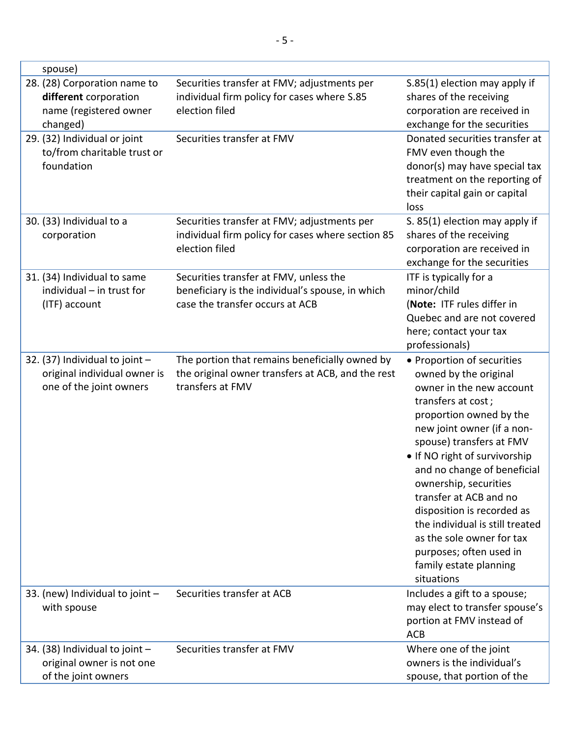| spouse)                                                                                     |                                                                                                                               |                                                                                                                                                                                                                                                                                                                                                                                                                                                                                |
|---------------------------------------------------------------------------------------------|-------------------------------------------------------------------------------------------------------------------------------|--------------------------------------------------------------------------------------------------------------------------------------------------------------------------------------------------------------------------------------------------------------------------------------------------------------------------------------------------------------------------------------------------------------------------------------------------------------------------------|
| 28. (28) Corporation name to<br>different corporation<br>name (registered owner<br>changed) | Securities transfer at FMV; adjustments per<br>individual firm policy for cases where S.85<br>election filed                  | S.85(1) election may apply if<br>shares of the receiving<br>corporation are received in<br>exchange for the securities                                                                                                                                                                                                                                                                                                                                                         |
| 29. (32) Individual or joint<br>to/from charitable trust or<br>foundation                   | Securities transfer at FMV                                                                                                    | Donated securities transfer at<br>FMV even though the<br>donor(s) may have special tax<br>treatment on the reporting of<br>their capital gain or capital<br>loss                                                                                                                                                                                                                                                                                                               |
| 30. (33) Individual to a<br>corporation                                                     | Securities transfer at FMV; adjustments per<br>individual firm policy for cases where section 85<br>election filed            | S. 85(1) election may apply if<br>shares of the receiving<br>corporation are received in<br>exchange for the securities                                                                                                                                                                                                                                                                                                                                                        |
| 31. (34) Individual to same<br>individual - in trust for<br>(ITF) account                   | Securities transfer at FMV, unless the<br>beneficiary is the individual's spouse, in which<br>case the transfer occurs at ACB | ITF is typically for a<br>minor/child<br>(Note: ITF rules differ in<br>Quebec and are not covered<br>here; contact your tax<br>professionals)                                                                                                                                                                                                                                                                                                                                  |
| 32. (37) Individual to joint -<br>original individual owner is<br>one of the joint owners   | The portion that remains beneficially owned by<br>the original owner transfers at ACB, and the rest<br>transfers at FMV       | • Proportion of securities<br>owned by the original<br>owner in the new account<br>transfers at cost;<br>proportion owned by the<br>new joint owner (if a non-<br>spouse) transfers at FMV<br>. If NO right of survivorship<br>and no change of beneficial<br>ownership, securities<br>transfer at ACB and no<br>disposition is recorded as<br>the individual is still treated<br>as the sole owner for tax<br>purposes; often used in<br>family estate planning<br>situations |
| 33. (new) Individual to joint -<br>with spouse                                              | Securities transfer at ACB                                                                                                    | Includes a gift to a spouse;<br>may elect to transfer spouse's<br>portion at FMV instead of<br><b>ACB</b>                                                                                                                                                                                                                                                                                                                                                                      |
| 34. (38) Individual to joint -<br>original owner is not one<br>of the joint owners          | Securities transfer at FMV                                                                                                    | Where one of the joint<br>owners is the individual's<br>spouse, that portion of the                                                                                                                                                                                                                                                                                                                                                                                            |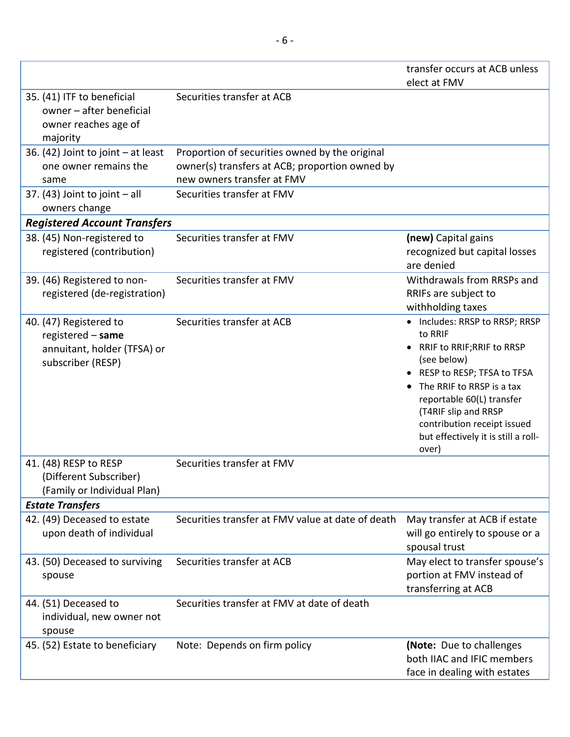|                                                                                                 |                                                                                                                                | transfer occurs at ACB unless                                                                                                                                                                                                                                                             |
|-------------------------------------------------------------------------------------------------|--------------------------------------------------------------------------------------------------------------------------------|-------------------------------------------------------------------------------------------------------------------------------------------------------------------------------------------------------------------------------------------------------------------------------------------|
|                                                                                                 |                                                                                                                                | elect at FMV                                                                                                                                                                                                                                                                              |
| 35. (41) ITF to beneficial<br>owner - after beneficial<br>owner reaches age of<br>majority      | Securities transfer at ACB                                                                                                     |                                                                                                                                                                                                                                                                                           |
| 36. (42) Joint to joint - at least<br>one owner remains the<br>same                             | Proportion of securities owned by the original<br>owner(s) transfers at ACB; proportion owned by<br>new owners transfer at FMV |                                                                                                                                                                                                                                                                                           |
| 37. $(43)$ Joint to joint $-$ all<br>owners change                                              | Securities transfer at FMV                                                                                                     |                                                                                                                                                                                                                                                                                           |
| <b>Registered Account Transfers</b>                                                             |                                                                                                                                |                                                                                                                                                                                                                                                                                           |
| 38. (45) Non-registered to<br>registered (contribution)                                         | Securities transfer at FMV                                                                                                     | (new) Capital gains<br>recognized but capital losses<br>are denied                                                                                                                                                                                                                        |
| 39. (46) Registered to non-<br>registered (de-registration)                                     | Securities transfer at FMV                                                                                                     | Withdrawals from RRSPs and<br>RRIFs are subject to<br>withholding taxes                                                                                                                                                                                                                   |
| 40. (47) Registered to<br>registered - same<br>annuitant, holder (TFSA) or<br>subscriber (RESP) | Securities transfer at ACB                                                                                                     | • Includes: RRSP to RRSP; RRSP<br>to RRIF<br>• RRIF to RRIF; RRIF to RRSP<br>(see below)<br>• RESP to RESP; TFSA to TFSA<br>The RRIF to RRSP is a tax<br>reportable 60(L) transfer<br>(T4RIF slip and RRSP<br>contribution receipt issued<br>but effectively it is still a roll-<br>over) |
| 41. (48) RESP to RESP<br>(Different Subscriber)<br>(Family or Individual Plan)                  | Securities transfer at FMV                                                                                                     |                                                                                                                                                                                                                                                                                           |
| <b>Estate Transfers</b>                                                                         |                                                                                                                                |                                                                                                                                                                                                                                                                                           |
| 42. (49) Deceased to estate<br>upon death of individual                                         | Securities transfer at FMV value at date of death                                                                              | May transfer at ACB if estate<br>will go entirely to spouse or a<br>spousal trust                                                                                                                                                                                                         |
| 43. (50) Deceased to surviving<br>spouse                                                        | Securities transfer at ACB                                                                                                     | May elect to transfer spouse's<br>portion at FMV instead of<br>transferring at ACB                                                                                                                                                                                                        |
| 44. (51) Deceased to<br>individual, new owner not<br>spouse                                     | Securities transfer at FMV at date of death                                                                                    |                                                                                                                                                                                                                                                                                           |
| 45. (52) Estate to beneficiary                                                                  | Note: Depends on firm policy                                                                                                   | (Note: Due to challenges<br>both IIAC and IFIC members<br>face in dealing with estates                                                                                                                                                                                                    |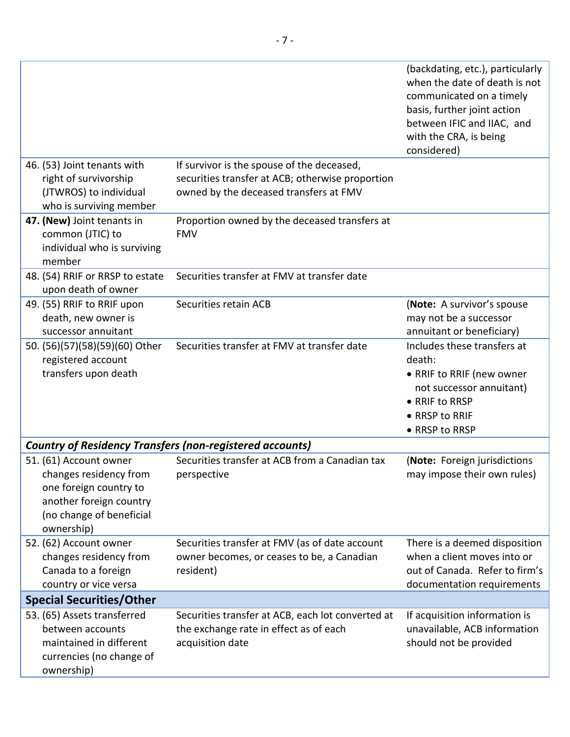|                                                                                                                                                 |                                                                                                                                          | (backdating, etc.), particularly<br>when the date of death is not<br>communicated on a timely<br>basis, further joint action<br>between IFIC and IIAC, and<br>with the CRA, is being<br>considered) |  |
|-------------------------------------------------------------------------------------------------------------------------------------------------|------------------------------------------------------------------------------------------------------------------------------------------|-----------------------------------------------------------------------------------------------------------------------------------------------------------------------------------------------------|--|
| 46. (53) Joint tenants with<br>right of survivorship<br>(JTWROS) to individual<br>who is surviving member                                       | If survivor is the spouse of the deceased,<br>securities transfer at ACB; otherwise proportion<br>owned by the deceased transfers at FMV |                                                                                                                                                                                                     |  |
| 47. (New) Joint tenants in<br>common (JTIC) to<br>individual who is surviving<br>member                                                         | Proportion owned by the deceased transfers at<br><b>FMV</b>                                                                              |                                                                                                                                                                                                     |  |
| 48. (54) RRIF or RRSP to estate<br>upon death of owner                                                                                          | Securities transfer at FMV at transfer date                                                                                              |                                                                                                                                                                                                     |  |
| 49. (55) RRIF to RRIF upon<br>death, new owner is<br>successor annuitant                                                                        | Securities retain ACB                                                                                                                    | (Note: A survivor's spouse<br>may not be a successor<br>annuitant or beneficiary)                                                                                                                   |  |
| 50. (56)(57)(58)(59)(60) Other<br>registered account<br>transfers upon death                                                                    | Securities transfer at FMV at transfer date                                                                                              | Includes these transfers at<br>death:<br>• RRIF to RRIF (new owner<br>not successor annuitant)<br>• RRIF to RRSP<br>• RRSP to RRIF<br>• RRSP to RRSP                                                |  |
| <b>Country of Residency Transfers (non-registered accounts)</b>                                                                                 |                                                                                                                                          |                                                                                                                                                                                                     |  |
| 51. (61) Account owner<br>changes residency from<br>one foreign country to<br>another foreign country<br>(no change of beneficial<br>ownership) | Securities transfer at ACB from a Canadian tax<br>perspective                                                                            | (Note: Foreign jurisdictions<br>may impose their own rules)                                                                                                                                         |  |
| 52. (62) Account owner<br>changes residency from<br>Canada to a foreign<br>country or vice versa                                                | Securities transfer at FMV (as of date account<br>owner becomes, or ceases to be, a Canadian<br>resident)                                | There is a deemed disposition<br>when a client moves into or<br>out of Canada. Refer to firm's<br>documentation requirements                                                                        |  |
| <b>Special Securities/Other</b>                                                                                                                 |                                                                                                                                          |                                                                                                                                                                                                     |  |
| 53. (65) Assets transferred<br>between accounts<br>maintained in different<br>currencies (no change of<br>ownership)                            | Securities transfer at ACB, each lot converted at<br>the exchange rate in effect as of each<br>acquisition date                          | If acquisition information is<br>unavailable, ACB information<br>should not be provided                                                                                                             |  |